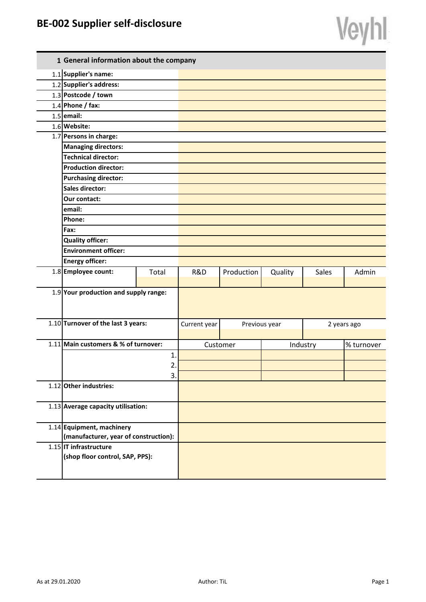## **BE-002 Supplier self-disclosure**

|              | ÷<br>۰ |
|--------------|--------|
|              |        |
|              |        |
| ۸<br>ł<br>á. | ٠      |

| 1 General information about the company |              |              |            |               |       |             |
|-----------------------------------------|--------------|--------------|------------|---------------|-------|-------------|
| 1.1 Supplier's name:                    |              |              |            |               |       |             |
| 1.2 Supplier's address:                 |              |              |            |               |       |             |
| 1.3 Postcode / town                     |              |              |            |               |       |             |
| $1.4$ Phone / fax:                      |              |              |            |               |       |             |
| $1.5$ email:                            |              |              |            |               |       |             |
| 1.6 Website:                            |              |              |            |               |       |             |
| 1.7 Persons in charge:                  |              |              |            |               |       |             |
| <b>Managing directors:</b>              |              |              |            |               |       |             |
| <b>Technical director:</b>              |              |              |            |               |       |             |
| <b>Production director:</b>             |              |              |            |               |       |             |
| <b>Purchasing director:</b>             |              |              |            |               |       |             |
| <b>Sales director:</b>                  |              |              |            |               |       |             |
| <b>Our contact:</b>                     |              |              |            |               |       |             |
| email:                                  |              |              |            |               |       |             |
| Phone:                                  |              |              |            |               |       |             |
| Fax:                                    |              |              |            |               |       |             |
| <b>Quality officer:</b>                 |              |              |            |               |       |             |
| <b>Environment officer:</b>             |              |              |            |               |       |             |
| <b>Energy officer:</b>                  |              |              |            |               |       |             |
| 1.8 Employee count:                     | Total        | R&D          | Production | Quality       | Sales | Admin       |
|                                         |              |              |            |               |       |             |
| $1.9$ Your production and supply range: |              |              |            |               |       |             |
|                                         |              |              |            |               |       |             |
|                                         |              |              |            |               |       |             |
| 1.10 Turnover of the last 3 years:      |              | Current year |            | Previous year |       | 2 years ago |
| 1.11 Main customers & % of turnover:    |              |              |            |               |       |             |
|                                         | $\mathbf{1}$ |              | Customer   | Industry      |       | % turnover  |
|                                         | $\mathbf{2}$ |              |            |               |       |             |
|                                         | 3.           |              |            |               |       |             |
| 1.12 Other industries:                  |              |              |            |               |       |             |
|                                         |              |              |            |               |       |             |
| 1.13 Average capacity utilisation:      |              |              |            |               |       |             |
|                                         |              |              |            |               |       |             |
| 1.14 Equipment, machinery               |              |              |            |               |       |             |
| (manufacturer, year of construction):   |              |              |            |               |       |             |
| 1.15 IT infrastructure                  |              |              |            |               |       |             |
| (shop floor control, SAP, PPS):         |              |              |            |               |       |             |
|                                         |              |              |            |               |       |             |
|                                         |              |              |            |               |       |             |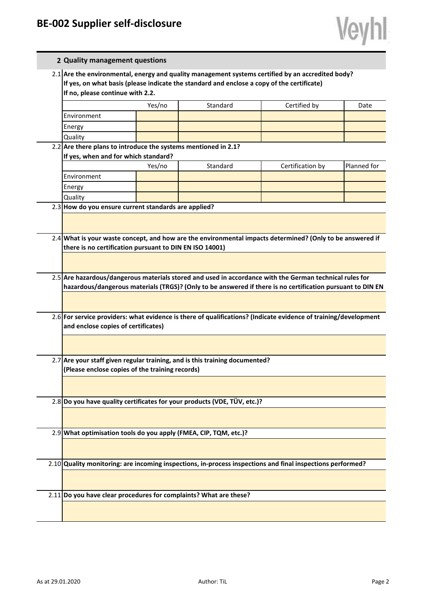|  | 2 Quality management questions                                                                                                                                                                                                      |        |                                                                                                            |                  |             |  |  |
|--|-------------------------------------------------------------------------------------------------------------------------------------------------------------------------------------------------------------------------------------|--------|------------------------------------------------------------------------------------------------------------|------------------|-------------|--|--|
|  | 2.1 Are the environmental, energy and quality management systems certified by an accredited body?<br>If yes, on what basis (please indicate the standard and enclose a copy of the certificate)<br>If no, please continue with 2.2. |        |                                                                                                            |                  |             |  |  |
|  |                                                                                                                                                                                                                                     | Yes/no | Standard                                                                                                   | Certified by     | Date        |  |  |
|  | Environment                                                                                                                                                                                                                         |        |                                                                                                            |                  |             |  |  |
|  | Energy                                                                                                                                                                                                                              |        |                                                                                                            |                  |             |  |  |
|  | Quality                                                                                                                                                                                                                             |        |                                                                                                            |                  |             |  |  |
|  | 2.2 Are there plans to introduce the systems mentioned in 2.1?                                                                                                                                                                      |        |                                                                                                            |                  |             |  |  |
|  | If yes, when and for which standard?                                                                                                                                                                                                |        |                                                                                                            |                  |             |  |  |
|  |                                                                                                                                                                                                                                     | Yes/no | Standard                                                                                                   | Certification by | Planned for |  |  |
|  | Environment                                                                                                                                                                                                                         |        |                                                                                                            |                  |             |  |  |
|  | Energy                                                                                                                                                                                                                              |        |                                                                                                            |                  |             |  |  |
|  | Quality                                                                                                                                                                                                                             |        |                                                                                                            |                  |             |  |  |
|  | 2.3 How do you ensure current standards are applied?                                                                                                                                                                                |        |                                                                                                            |                  |             |  |  |
|  |                                                                                                                                                                                                                                     |        |                                                                                                            |                  |             |  |  |
|  |                                                                                                                                                                                                                                     |        | 2.4 What is your waste concept, and how are the environmental impacts determined? (Only to be answered if  |                  |             |  |  |
|  | there is no certification pursuant to DIN EN ISO 14001)                                                                                                                                                                             |        |                                                                                                            |                  |             |  |  |
|  |                                                                                                                                                                                                                                     |        |                                                                                                            |                  |             |  |  |
|  |                                                                                                                                                                                                                                     |        |                                                                                                            |                  |             |  |  |
|  | 2.5 Are hazardous/dangerous materials stored and used in accordance with the German technical rules for                                                                                                                             |        |                                                                                                            |                  |             |  |  |
|  | hazardous/dangerous materials (TRGS)? (Only to be answered if there is no certification pursuant to DIN EN                                                                                                                          |        |                                                                                                            |                  |             |  |  |
|  |                                                                                                                                                                                                                                     |        |                                                                                                            |                  |             |  |  |
|  | 2.6 For service providers: what evidence is there of qualifications? (Indicate evidence of training/development                                                                                                                     |        |                                                                                                            |                  |             |  |  |
|  | and enclose copies of certificates)                                                                                                                                                                                                 |        |                                                                                                            |                  |             |  |  |
|  |                                                                                                                                                                                                                                     |        |                                                                                                            |                  |             |  |  |
|  |                                                                                                                                                                                                                                     |        |                                                                                                            |                  |             |  |  |
|  |                                                                                                                                                                                                                                     |        |                                                                                                            |                  |             |  |  |
|  | 2.7 Are your staff given regular training, and is this training documented?<br>(Please enclose copies of the training records)                                                                                                      |        |                                                                                                            |                  |             |  |  |
|  |                                                                                                                                                                                                                                     |        |                                                                                                            |                  |             |  |  |
|  |                                                                                                                                                                                                                                     |        |                                                                                                            |                  |             |  |  |
|  | 2.8 Do you have quality certificates for your products (VDE, TÜV, etc.)?                                                                                                                                                            |        |                                                                                                            |                  |             |  |  |
|  |                                                                                                                                                                                                                                     |        |                                                                                                            |                  |             |  |  |
|  |                                                                                                                                                                                                                                     |        |                                                                                                            |                  |             |  |  |
|  | 2.9 What optimisation tools do you apply (FMEA, CIP, TQM, etc.)?                                                                                                                                                                    |        |                                                                                                            |                  |             |  |  |
|  |                                                                                                                                                                                                                                     |        |                                                                                                            |                  |             |  |  |
|  |                                                                                                                                                                                                                                     |        |                                                                                                            |                  |             |  |  |
|  |                                                                                                                                                                                                                                     |        | 2.10 Quality monitoring: are incoming inspections, in-process inspections and final inspections performed? |                  |             |  |  |
|  |                                                                                                                                                                                                                                     |        |                                                                                                            |                  |             |  |  |
|  |                                                                                                                                                                                                                                     |        |                                                                                                            |                  |             |  |  |
|  | 2.11 Do you have clear procedures for complaints? What are these?                                                                                                                                                                   |        |                                                                                                            |                  |             |  |  |
|  |                                                                                                                                                                                                                                     |        |                                                                                                            |                  |             |  |  |
|  |                                                                                                                                                                                                                                     |        |                                                                                                            |                  |             |  |  |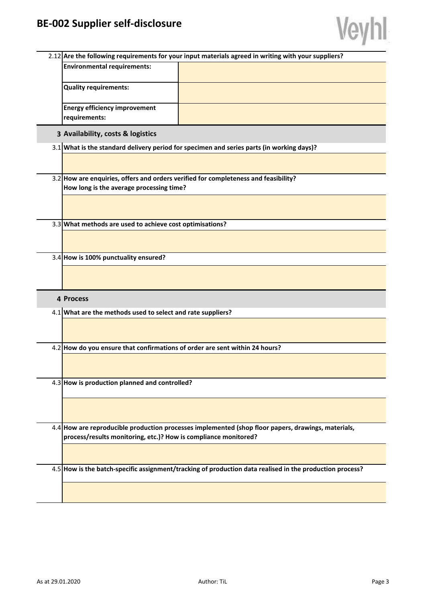

|                                                                                                                                 | 2.12 Are the following requirements for your input materials agreed in writing with your suppliers? |                                                                                                          |  |  |
|---------------------------------------------------------------------------------------------------------------------------------|-----------------------------------------------------------------------------------------------------|----------------------------------------------------------------------------------------------------------|--|--|
|                                                                                                                                 | <b>Environmental requirements:</b>                                                                  |                                                                                                          |  |  |
|                                                                                                                                 | <b>Quality requirements:</b>                                                                        |                                                                                                          |  |  |
|                                                                                                                                 | <b>Energy efficiency improvement</b><br>requirements:                                               |                                                                                                          |  |  |
|                                                                                                                                 | 3 Availability, costs & logistics                                                                   |                                                                                                          |  |  |
|                                                                                                                                 | 3.1 What is the standard delivery period for specimen and series parts (in working days)?           |                                                                                                          |  |  |
|                                                                                                                                 |                                                                                                     |                                                                                                          |  |  |
| 3.2 How are enquiries, offers and orders verified for completeness and feasibility?<br>How long is the average processing time? |                                                                                                     |                                                                                                          |  |  |
|                                                                                                                                 |                                                                                                     |                                                                                                          |  |  |
|                                                                                                                                 |                                                                                                     |                                                                                                          |  |  |
|                                                                                                                                 | 3.3 What methods are used to achieve cost optimisations?                                            |                                                                                                          |  |  |
|                                                                                                                                 |                                                                                                     |                                                                                                          |  |  |
|                                                                                                                                 | 3.4 How is 100% punctuality ensured?                                                                |                                                                                                          |  |  |
|                                                                                                                                 |                                                                                                     |                                                                                                          |  |  |
|                                                                                                                                 |                                                                                                     |                                                                                                          |  |  |
|                                                                                                                                 | 4 Process                                                                                           |                                                                                                          |  |  |
|                                                                                                                                 | 4.1 What are the methods used to select and rate suppliers?                                         |                                                                                                          |  |  |
|                                                                                                                                 |                                                                                                     |                                                                                                          |  |  |
|                                                                                                                                 | 4.2 How do you ensure that confirmations of order are sent within 24 hours?                         |                                                                                                          |  |  |
|                                                                                                                                 |                                                                                                     |                                                                                                          |  |  |
|                                                                                                                                 | 4.3 How is production planned and controlled?                                                       |                                                                                                          |  |  |
|                                                                                                                                 |                                                                                                     |                                                                                                          |  |  |
|                                                                                                                                 |                                                                                                     |                                                                                                          |  |  |
|                                                                                                                                 |                                                                                                     | 4.4 How are reproducible production processes implemented (shop floor papers, drawings, materials,       |  |  |
|                                                                                                                                 | process/results monitoring, etc.)? How is compliance monitored?                                     |                                                                                                          |  |  |
|                                                                                                                                 |                                                                                                     |                                                                                                          |  |  |
|                                                                                                                                 |                                                                                                     | 4.5 How is the batch-specific assignment/tracking of production data realised in the production process? |  |  |
|                                                                                                                                 |                                                                                                     |                                                                                                          |  |  |
|                                                                                                                                 |                                                                                                     |                                                                                                          |  |  |